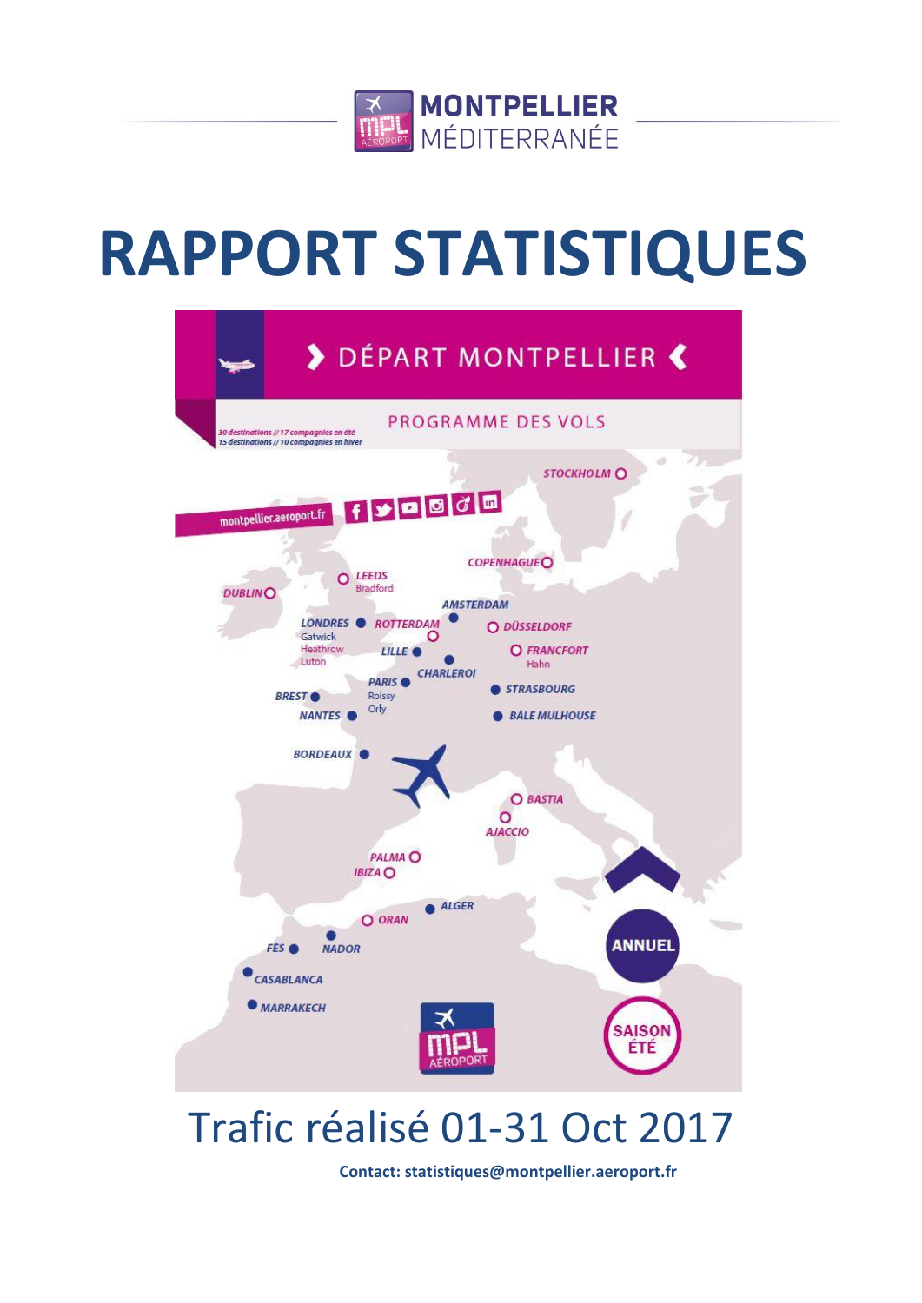

# **RAPPORT STATISTIQUES**



## Trafic réalisé 01-31 Oct 2017

**Contact: statistiques@montpellier.aeroport.fr**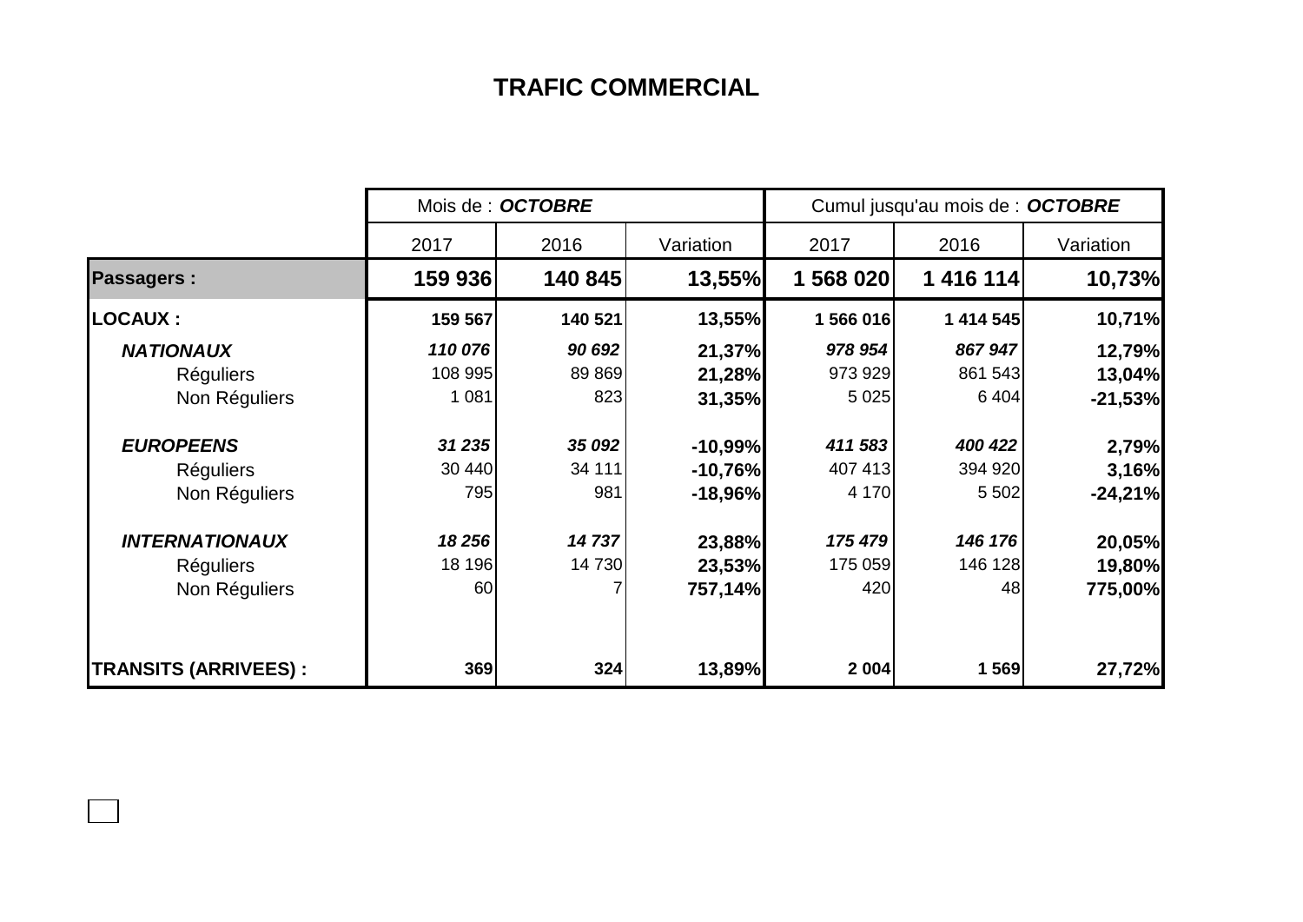## **TRAFIC COMMERCIAL**

|                              | Mois de : OCTOBRE |         |           | Cumul jusqu'au mois de : OCTOBRE |           |           |  |
|------------------------------|-------------------|---------|-----------|----------------------------------|-----------|-----------|--|
|                              | 2017              | 2016    | Variation | 2017                             | 2016      | Variation |  |
| <b>Passagers:</b>            | 159 936           | 140 845 | 13,55%    | 1 568 020                        | 1 416 114 | 10,73%    |  |
| <b>LOCAUX :</b>              | 159 567           | 140 521 | 13,55%    | 1 566 016                        | 1 414 545 | 10,71%    |  |
| <b>NATIONAUX</b>             | 110 076           | 90 692  | 21,37%    | 978 954                          | 867947    | 12,79%    |  |
| <b>Réguliers</b>             | 108 995           | 89 869  | 21,28%    | 973 929                          | 861 543   | 13,04%    |  |
| Non Réguliers                | 1 0 8 1           | 823     | 31,35%    | 5 0 25                           | 6 4 0 4   | $-21,53%$ |  |
| <b>EUROPEENS</b>             | 31 235            | 35 092  | $-10,99%$ | 411 583                          | 400 422   | 2,79%     |  |
| <b>Réguliers</b>             | 30 440            | 34 111  | $-10,76%$ | 407 413                          | 394 920   | 3,16%     |  |
| Non Réguliers                | 795               | 981     | $-18,96%$ | 4 170                            | 5 5 0 2   | $-24,21%$ |  |
| <b>INTERNATIONAUX</b>        | 18 256            | 14737   | 23,88%    | 175 479                          | 146 176   | 20,05%    |  |
| <b>Réguliers</b>             | 18 196            | 14 730  | 23,53%    | 175 059                          | 146 128   | 19,80%    |  |
| Non Réguliers                | 60                |         | 757,14%   | 420                              | 48        | 775,00%   |  |
| <b>TRANSITS (ARRIVEES) :</b> | 369               | 324     | 13,89%    | 2004                             | 1 569     | 27,72%    |  |

 $\Box$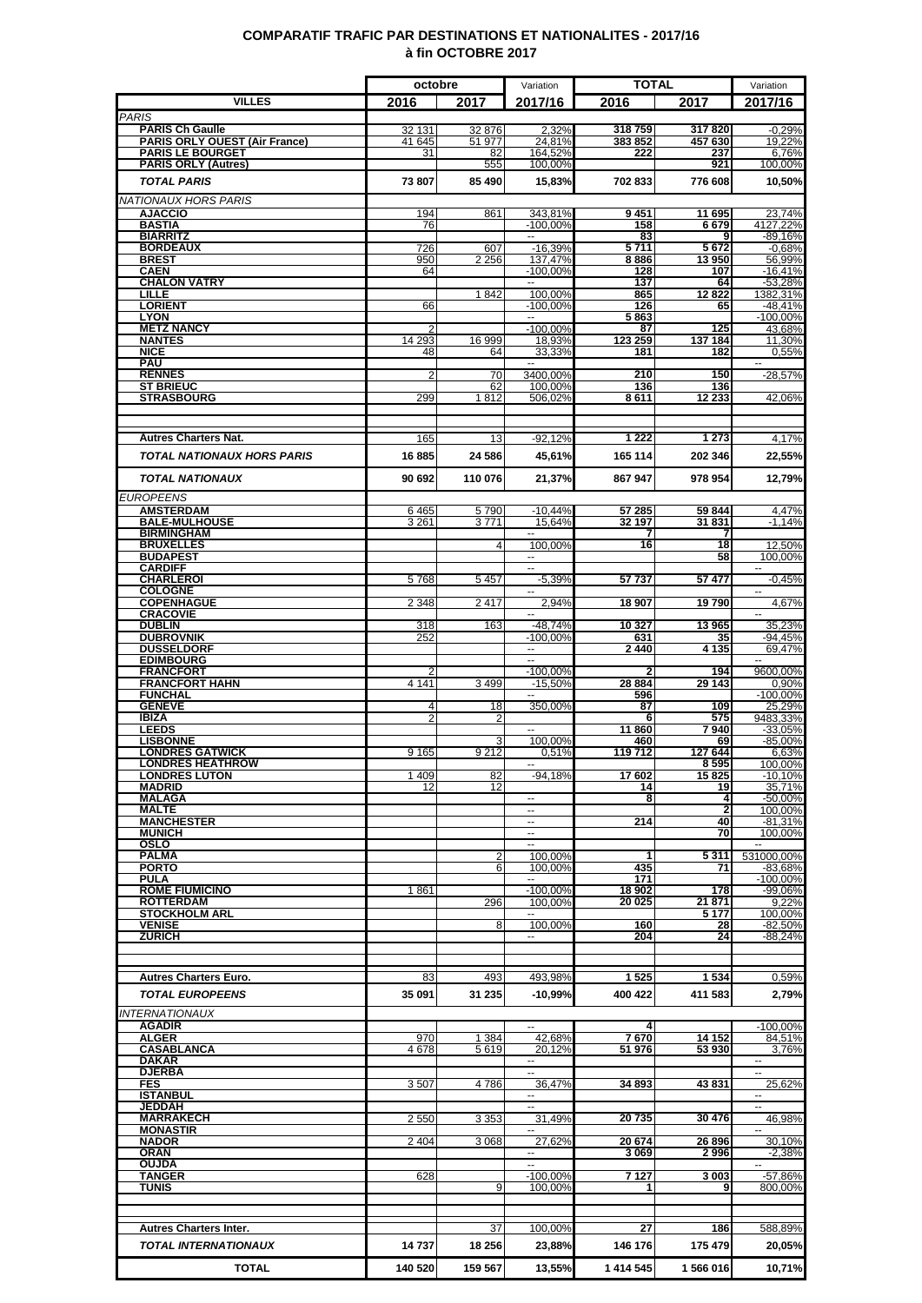### **COMPARATIF TRAFIC PAR DESTINATIONS ET NATIONALITES - 2017/16 à fin OCTOBRE 2017**

|                                                                | octobre          |                  | Variation                           | <b>TOTAL</b>      |                   | Variation                            |
|----------------------------------------------------------------|------------------|------------------|-------------------------------------|-------------------|-------------------|--------------------------------------|
| <b>VILLES</b>                                                  | 2016             | 2017             | 2017/16                             | 2016              | 2017              | 2017/16                              |
| <b>PARIS</b>                                                   |                  |                  |                                     |                   |                   |                                      |
| <b>PARIS Ch Gaulle</b><br><b>PARIS ORLY OUEST (Air France)</b> | 32 131<br>41 645 | 32 876<br>51 977 | 2,32%<br>24,81%                     | 318759<br>383 852 | 317820<br>457 630 | $-0.29%$<br>19,22%                   |
| <b>PARIS LE BOURGET</b>                                        | 31               | 82               | 164,52%                             | 222               | 237               | 6.76%                                |
| <b>PARIS ORLY (Autres)</b>                                     |                  | 555              | 100,00%                             |                   | 921               | 100,00%                              |
| <b>TOTAL PARIS</b>                                             | 73 807           | 85 490           | 15,83%                              | 702 833           | 776 608           | 10,50%                               |
| <b>NATIONAUX HORS PARIS</b>                                    |                  |                  |                                     |                   |                   |                                      |
| <b>AJACCIO</b><br><b>BASTIA</b>                                | 194<br>76        | 861              | 343,81%<br>$-100,00%$               | 9451<br>158       | 11 695<br>6679    | 23,74%<br>4127,22%                   |
| <b>BIARRITZ</b>                                                |                  |                  | $\sim$                              | 83                | 9                 | -89,16%                              |
| <b>BORDEAUX</b><br><b>BREST</b>                                | 726<br>950       | 607<br>2 2 5 6   | $-16,39%$<br>137,47%                | 5711<br>8886      | 5672<br>13 950    | $-0,68%$<br>56,99%                   |
| <b>CAEN</b>                                                    | 64               |                  | $-100,00%$                          | 128               | 107               | $-16,41%$                            |
| <b>CHALON VATRY</b><br><b>LILLE</b>                            |                  | 1842             | ш,<br>100,00%                       | 137<br>865        | 64<br>12 8 22     | $-53,28%$<br>1382,31%                |
| <b>LORIENT</b>                                                 | 66               |                  | $-100.00\%$                         | 126               | 65                | $-48.41%$                            |
| <b>LYON</b><br><b>METZ NANCY</b>                               | 2                |                  | $\overline{a}$<br>$-100,00%$        | 5863              | 125               | $-100,00%$<br>43,68%                 |
| <b>NANTES</b>                                                  | 14 293           | 16 999           | 18,93%                              | 87<br>123 259     | 137 184           | 11,30%                               |
| <b>NICE</b>                                                    | 48               | 64               | 33,33%                              | 181               | 182               | 0,55%                                |
| <b>PAU</b><br><b>RENNES</b>                                    | 2                | 70               | 3400,00%                            | 210               | 150               | $-28,57%$                            |
| <b>ST BRIEUC</b>                                               |                  | 62               | 100,00%                             | 136               | 136               |                                      |
| <b>STRASBOURG</b>                                              | 299              | 1812             | 506,02%                             | 8611              | 12 233            | 42,06%                               |
|                                                                |                  |                  |                                     |                   |                   |                                      |
| <b>Autres Charters Nat.</b>                                    | 165              | 13               | $-92,12%$                           | 1 2 2 2           | 1 2 7 3           | 4,17%                                |
| <b>TOTAL NATIONAUX HORS PARIS</b>                              | 16885            | 24 586           | 45,61%                              | 165 114           | 202 346           | 22,55%                               |
| <b>TOTAL NATIONAUX</b>                                         | 90 692           | 110 076          | 21,37%                              | 867 947           | 978 954           | 12,79%                               |
|                                                                |                  |                  |                                     |                   |                   |                                      |
| <b>EUROPEENS</b><br><b>AMSTERDAM</b>                           | 6465             | 5790             | $-10.44%$                           | 57 285            | 59 844            | 4,47%                                |
| <b>BALE-MULHOUSE</b>                                           | 3 2 6 1          | 3771             | 15,64%                              | 32 197            | 31831             | $-1,14%$                             |
| <b>BIRMINGHAM</b><br><b>BRUXELLES</b>                          |                  | 4                | $\overline{\phantom{a}}$<br>100,00% | 7<br>16           | $\overline{18}$   | 12,50%                               |
| <b>BUDAPEST</b>                                                |                  |                  | $\overline{\phantom{a}}$            |                   | 58                | 100.00%                              |
| <b>CARDIFF</b><br><b>CHARLEROI</b>                             |                  |                  |                                     | 57 737            | 57477             |                                      |
| <b>COLOGNE</b>                                                 | 5768             | 5 4 5 7          | $-5,39%$                            |                   |                   | $-0.45%$                             |
| <b>COPENHAGUE</b>                                              | 2 3 4 8          | 2417             | 2,94%                               | 18 907            | 19790             | 4,67%                                |
| <b>CRACOVIE</b><br><b>DUBLIN</b>                               | 318              | 163              | $-48,74%$                           | 10 327            | 13965             | 35,23%                               |
| <b>DUBROVNIK</b>                                               | 252              |                  | $-100,00%$                          | 631               | 35                | -94,45%                              |
| <b>DUSSELDORF</b><br><b>EDIMBOURG</b>                          |                  |                  | ш.                                  | 2440              | 4 1 3 5           | 69,47%                               |
| <b>FRANCFORT</b>                                               |                  |                  | $-100,00%$                          |                   | 194               | 9600,00%                             |
| <b>FRANCFORT HAHN</b><br><b>FUNCHAL</b>                        | 4 1 4 1          | 3 4 9 9          | $-15,50%$                           | 28 884<br>596     | 29 143            | 0,90%<br>$-100,00%$                  |
| <b>GENEVE</b>                                                  | 4                | 18               | 350,00%                             | 87                | 109               | 25,29%                               |
| IBIZA<br><b>LEEDS</b>                                          | 2                |                  |                                     | 6<br>11 860       | 575<br>7940       | 9483,33%<br>$-33.05%$                |
| <b>LISBONNE</b>                                                |                  |                  | 100,00%                             | 460               | 69                | $-85.00%$                            |
| <b>LONDRES GATWICK</b><br><b>LONDRES HEATHROW</b>              | 9 1 6 5          | 9 2 1 2          | 0,51%                               | 119 712           | 127 644           | 6,63%                                |
| <b>LONDRES LUTON</b>                                           | 1 4 0 9          | 82               | ⊷<br>$-94,18%$                      | 17 602            | 8595<br>15825     | 100,00%<br>$-10,10%$                 |
| <b>MADRID</b>                                                  | 12               | 12               |                                     | 14                | 19                | 35,71%                               |
| <b>MALAGA</b><br><b>MALTE</b>                                  |                  |                  | --                                  | 8                 | 4<br>2            | $-50,00%$<br>100,00%                 |
| <b>MANCHESTER</b>                                              |                  |                  | н.                                  | 214               | 40                | -81,31%                              |
| <b>MUNICH</b><br><b>OSLO</b>                                   |                  |                  | ш,<br>ш.                            |                   | 70                | 100,00%<br>$\mathbf{u}$              |
| <b>PALMA</b>                                                   |                  | 2                | 100,00%                             | 1                 | 5311              | 531000,00%                           |
| <b>PORTO</b><br><b>PULA</b>                                    |                  | 6                | 100.00%                             | 435<br>171        | 71                | $-83.68%$<br>$-100,00%$              |
| <b>ROME FIUMICINO</b>                                          | 1861             |                  | $-100,00%$                          | 18 902            | 178               | -99,06%                              |
| <b>ROTTERDAM</b><br><b>STOCKHOLM ARL</b>                       |                  | 296              | 100,00%<br>$\overline{a}$           | 20 025            | 21 871<br>5 177   | 9,22%<br>100,00%                     |
| <b>VENISE</b>                                                  |                  | 8                | 100,00%                             | 160               | 28                | $-82,50%$                            |
| <b>ZURICH</b>                                                  |                  |                  | −−                                  | 204               | 24                | $-88,24%$                            |
|                                                                |                  |                  |                                     |                   |                   |                                      |
| <b>Autres Charters Euro.</b>                                   | 83               | 493              | 493,98%                             | 1525              | 1534              | 0,59%                                |
| <b>TOTAL EUROPEENS</b>                                         | 35 091           | 31 235           | $-10,99\%$                          | 400 422           | 411 583           | 2,79%                                |
| <b>INTERNATIONAUX</b>                                          |                  |                  |                                     |                   |                   |                                      |
| <b>AGADIR</b>                                                  |                  |                  |                                     | 4                 |                   | $-100,00%$                           |
| <b>ALGER</b>                                                   | 970              | 1 3 8 4          | 42,68%                              | 7670              | 14 152            | 84,51%                               |
| <b>CASABLANCA</b><br>DAKAR                                     | 4678             | 5619             | 20,12%<br>−−                        | 51 976            | 53 930            | 3,76%<br>$\overline{\phantom{a}}$    |
| <b>DJERBA</b>                                                  |                  |                  |                                     |                   |                   |                                      |
| <b>FES</b><br><b>ISTANBUL</b>                                  | 3507             | 4786             | 36,47%<br>--                        | 34 893            | 43831             | 25,62%<br>$\overline{\phantom{a}}$   |
| <b>JEDDAH</b>                                                  |                  |                  | --                                  |                   |                   |                                      |
| <b>MARRAKECH</b><br><b>MONASTIR</b>                            | 2 5 5 0          | 3 3 5 3          | 31,49%                              | 20735             | 30 476            | 46,98%                               |
| <b>NADOR</b>                                                   | 2 4 0 4          | 3 0 6 8          | 27.62%                              | 20674             | 26 896            | 30.10%                               |
| ORAN<br><b>OUJDA</b>                                           |                  |                  | $\sim$<br>ц.                        | 3069              | 2996              | $-2,38%$<br>$\overline{\phantom{a}}$ |
| <b>TANGER</b>                                                  | 628              |                  | $-100,00%$                          | 7127              | 3 003             | $-57,86%$                            |
| TUNIS                                                          |                  | 9                | 100,00%                             |                   | 9                 | 800,00%                              |
|                                                                |                  |                  |                                     |                   |                   |                                      |
| <b>Autres Charters Inter.</b>                                  |                  | 37               | 100,00%                             | 27                | 186               | 588,89%                              |
| <b>TOTAL INTERNATIONAUX</b>                                    | 14737            | 18 25 6          | 23,88%                              | 146 176           | 175 479           | 20,05%                               |
|                                                                |                  |                  |                                     |                   |                   |                                      |
| <b>TOTAL</b>                                                   | 140 520          | 159 567          | 13,55%                              | 1 414 545         | 1566016           | 10,71%                               |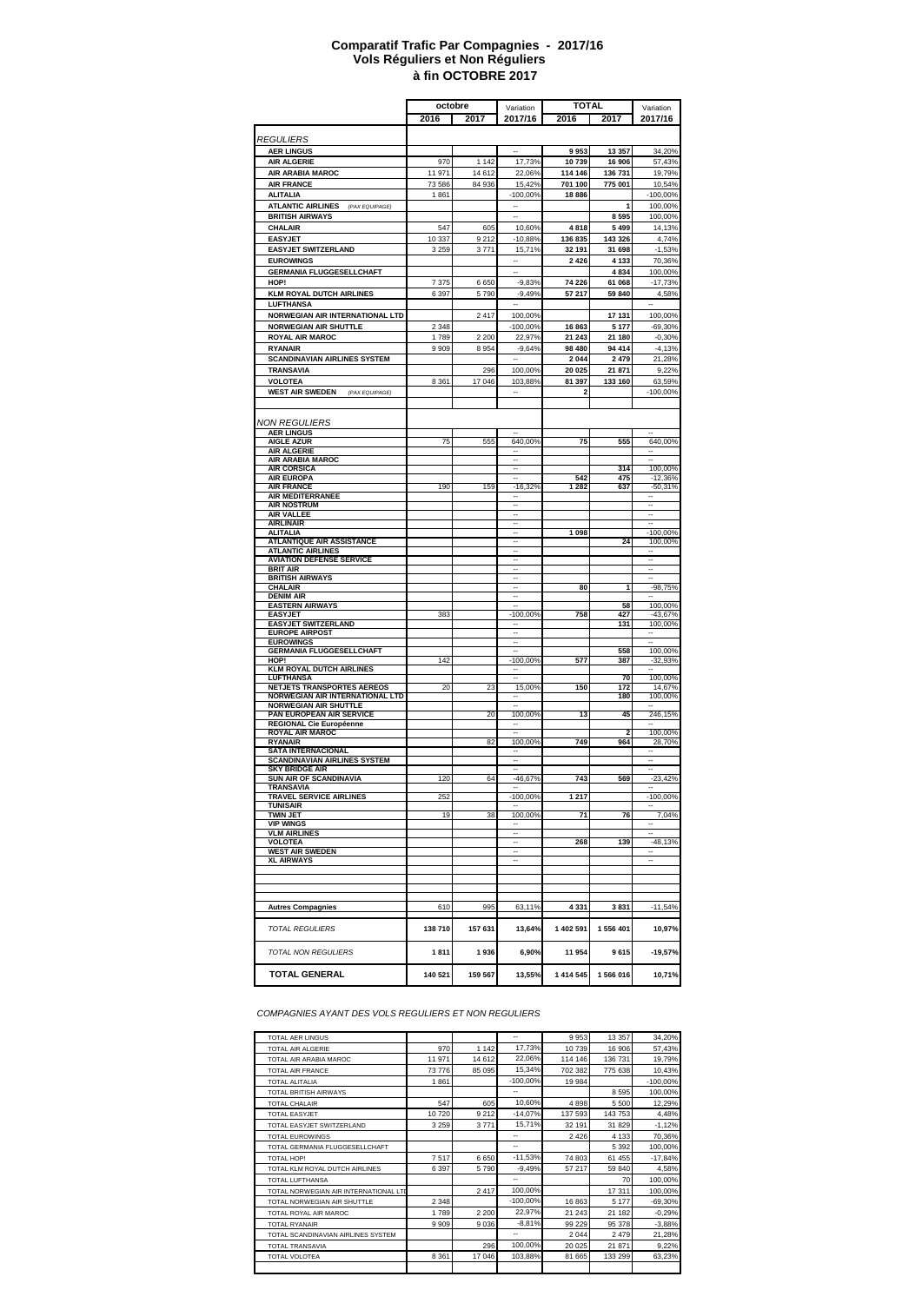#### **à fin OCTOBRE 2017 Comparatif Trafic Par Compagnies - 2017/16 Vols Réguliers et Non Réguliers**

|                                                              | octobre            |         | Variation            | <b>TOTAL</b>  |                                | Variation             |
|--------------------------------------------------------------|--------------------|---------|----------------------|---------------|--------------------------------|-----------------------|
|                                                              | 2016               | 2017    | 2017/16              | 2016          | 2017                           | 2017/16               |
|                                                              |                    |         |                      |               |                                |                       |
| <i>REGULIERS</i>                                             |                    |         |                      |               |                                |                       |
| <b>AER LINGUS</b><br><b>AIR ALGERIE</b>                      | 970                | 1 1 4 2 | 17,73%               | 9953<br>10739 | 13 357<br>16 906               | 34,20%<br>57,43%      |
| AIR ARABIA MAROC                                             | 11 971             | 14 612  | 22,06%               | 114 146       | 136 731                        | 19,79%                |
| <b>AIR FRANCE</b>                                            | 73 586             | 84 936  | 15.42%               | 701 100       | 775 001                        | 10,54%                |
| <b>ALITALIA</b>                                              | 1861               |         | $-100,00%$           | 18886         |                                | -100,00%              |
| <b>ATLANTIC AIRLINES</b><br>(PAX EQUIPAGE)                   |                    |         |                      |               | 1                              | 100,00%               |
| <b>BRITISH AIRWAYS</b>                                       |                    |         |                      |               | 8595                           | 100,00%               |
| CHALAIR                                                      | 547                | 605     | 10,60%               | 4818          | 5 4 9 9                        | 14,13%                |
| <b>EASYJET</b>                                               | 10 337             | 9212    | $-10,88%$            | 136 835       | 143 326                        | 4,74%                 |
| <b>EASYJET SWITZERLAND</b>                                   | 3 2 5 9            | 3771    | 15,71%               | 32 191        | 31 698                         | $-1,53%$              |
| <b>EUROWINGS</b>                                             |                    |         |                      | 2 4 2 6       | 4 1 3 3                        | 70,36%                |
| <b>GERMANIA FLUGGESELLCHAFT</b>                              |                    |         |                      |               | 4834                           | 100,00%               |
| HOP!                                                         | 7 3 7 5<br>6 3 9 7 | 6650    | $-9,83%$<br>$-9,49%$ | 74 226        | 61 068                         | $-17,73%$             |
| <b>KLM ROYAL DUTCH AIRLINES</b><br>LUFTHANSA                 |                    | 5790    |                      | 57 217        | 59 840                         | 4,58%                 |
| NORWEGIAN AIR INTERNATIONAL LTD                              |                    | 2417    | 100,00%              |               | 17 131                         | 100,00%               |
| <b>NORWEGIAN AIR SHUTTLE</b>                                 | 2 3 4 8            |         | $-100,00%$           | 16 863        | 5 1 7 7                        | $-69,30%$             |
| ROYAL AIR MAROC                                              | 1 789              | 2 2 0 0 | 22,97%               | 21 243        | 21 180                         | $-0,30%$              |
| <b>RYANAIR</b>                                               | 9 9 0 9            | 8954    | $-9,64%$             | 98 480        | 94 414                         | $-4,13%$              |
| <b>SCANDINAVIAN AIRLINES SYSTEM</b>                          |                    |         |                      | 2 0 4 4       | 2 4 7 9                        | 21,28%                |
| TRANSAVIA                                                    |                    | 296     | 100,00%              | 20 025        | 21 871                         | 9,22%                 |
| VOLOTEA                                                      | 8 3 6 1            | 17 046  | 103,88%              | 81 397        | 133 160                        | 63,59%                |
| <b>WEST AIR SWEDEN</b><br>(PAX EQUIPAGE)                     |                    |         |                      | 2             |                                | -100,00%              |
|                                                              |                    |         |                      |               |                                |                       |
| <b>NON REGULIERS</b>                                         |                    |         |                      |               |                                |                       |
| <b>AER LINGUS</b>                                            |                    |         |                      |               |                                |                       |
| <b>AIGLE AZUR</b>                                            | 75                 | 555     | 640,00%              | 75            | 555                            | 640,00%               |
| <b>AIR ALGERIE</b>                                           |                    |         |                      |               |                                |                       |
| <b>AIR ARABIA MAROC</b><br><b>AIR CORSICA</b>                |                    |         | <br>--               |               | 314                            | 100,00%               |
| <b>AIR EUROPA</b>                                            |                    |         |                      | 542           | 475                            | $-12,36%$             |
| <b>AIR FRANCE</b>                                            | 190                | 159     | $-16,32%$            | 1 2 8 2       | 637                            | $-50,31%$             |
| AIR MEDITERRANEE<br><b>AIR NOSTRUM</b>                       |                    |         | -                    |               |                                |                       |
| <b>AIR VALLEE</b>                                            |                    |         |                      |               |                                |                       |
| <b>AIRLINAIR</b>                                             |                    |         |                      |               |                                |                       |
| <b>ALITALIA</b>                                              |                    |         |                      | 1 0 98        | 24                             | $-100,00%$<br>100.00% |
| <b>ATLANTIQUE AIR ASSISTANCE</b><br><b>ATLANTIC AIRLINES</b> |                    |         |                      |               |                                |                       |
| <b>AVIATION DEFENSE SERVICE</b>                              |                    |         |                      |               |                                |                       |
| BRIT AIR                                                     |                    |         |                      |               |                                |                       |
| <b>BRITISH AIRWAYS</b><br><b>CHALAIR</b>                     |                    |         |                      | 80            | 1                              | $-98,75%$             |
| <b>DENIM AIR</b>                                             |                    |         |                      |               |                                |                       |
| <b>EASTERN AIRWAYS</b>                                       |                    |         |                      |               | 58                             | 100,00%               |
| <b>EASYJET</b><br><b>EASYJET SWITZERLAND</b>                 | 383                |         | $-100,00%$           | 758           | 427<br>131                     | $-43,67%$<br>100,00%  |
| <b>EUROPE AIRPOST</b>                                        |                    |         |                      |               |                                |                       |
| <b>EUROWINGS</b>                                             |                    |         |                      |               |                                |                       |
| <b>GERMANIA FLUGGESELLCHAFT</b>                              |                    |         |                      |               | 558                            | 100,00%               |
| HOP!<br><b>KLM ROYAL DUTCH AIRLINES</b>                      | 142                |         | $-100,00%$           | 577           | 387                            | $-32,93%$             |
| <b>LUFTHANSA</b>                                             |                    |         |                      |               | 70                             | 100,00%               |
| NETJETS TRANSPORTES AEREOS                                   | 20                 | 23      | 15,00%               | 150           | 172                            | 14,67%                |
| NORWEGIAN AIR INTERNATIONAL LTD                              |                    |         |                      |               | 180                            | 100,00%               |
| <b>NORWEGIAN AIR SHUTTLE</b><br>PAN EUROPEAN AIR SERVICE     |                    | 20      | 100,00%              | 13            | 45                             | 246,15%               |
| REGIONAL Cie Européenne                                      |                    |         |                      |               |                                |                       |
| <b>ROYAL AIR MAROC</b><br><b>RYANAIR</b>                     |                    | 82      | 100,00%              | 749           | $\overline{\mathbf{2}}$<br>964 | 100,00%<br>28,70%     |
| <b>SATA INTERNACIONAL</b>                                    |                    |         |                      |               |                                |                       |
| <b>SCANDINAVIAN AIRLINES SYSTEM</b>                          |                    |         |                      |               |                                |                       |
| <b>SKY BRIDGE AIR</b><br>SUN AIR OF SCANDINAVIA              |                    |         |                      |               |                                | $-23,42%$             |
| TRANSAVIA                                                    | 120                | 64      | -46,67%              | 743           | 569                            |                       |
| <b>TRAVEL SERVICE AIRLINES</b>                               | 252                |         | -100,00%             | 1 217         |                                | -100,00%              |
| TUNISAIR                                                     |                    |         |                      |               |                                |                       |
| <b>TWIN JET</b><br><b>VIP WINGS</b>                          | 19                 | 38      | 100,00%              | 71            | 76                             | 7,04%                 |
| <b>VLM AIRLINES</b>                                          |                    |         |                      |               |                                |                       |
| <b>VOLOTEA</b>                                               |                    |         |                      | 268           | 139                            | $-48,13%$             |
| <b>WEST AIR SWEDEN</b><br><b>XL AIRWAYS</b>                  |                    |         |                      |               |                                |                       |
|                                                              |                    |         |                      |               |                                |                       |
|                                                              |                    |         |                      |               |                                |                       |
|                                                              |                    |         |                      |               |                                |                       |
| <b>Autres Compagnies</b>                                     | 610                | 995     | 63,11%               | 4 3 3 1       | 3831                           | $-11,54%$             |
|                                                              |                    |         |                      |               |                                |                       |
| <b>TOTAL REGULIERS</b>                                       | 138710             | 157 631 | 13,64%               | 1 402 591     | 1 556 401                      | 10,97%                |
|                                                              |                    |         |                      |               |                                |                       |
| <b>TOTAL NON REGULIERS</b>                                   | 1811               | 1936    | 6,90%                | 11 954        | 9615                           | $-19,57%$             |
|                                                              |                    |         |                      |               |                                |                       |
| <b>TOTAL GENERAL</b>                                         | 140 521            | 159 567 | 13,55%               | 1 414 545     | 1566016                        | 10,71%                |
|                                                              |                    |         |                      |               |                                |                       |

*COMPAGNIES AYANT DES VOLS REGULIERS ET NON REGULIERS*

| <b>TOTAL AER LINGUS</b>               |         |         | -           | 9953    | 13 3 5 7 | 34,20%     |
|---------------------------------------|---------|---------|-------------|---------|----------|------------|
| <b>TOTAL AIR ALGERIE</b>              | 970     | 1 1 4 2 | 17,73%      | 10739   | 16 906   | 57,43%     |
| TOTAL AIR ARABIA MAROC                | 11 971  | 14 6 12 | 22,06%      | 114 146 | 136 731  | 19,79%     |
| <b>TOTAL AIR FRANCE</b>               | 73 776  | 85 095  | 15,34%      | 702 382 | 775 638  | 10,43%     |
| <b>TOTAL ALITALIA</b>                 | 1861    |         | $-100.00\%$ | 19 984  |          | $-100,00%$ |
| <b>TOTAL BRITISH AIRWAYS</b>          |         |         |             |         | 8 5 9 5  | 100,00%    |
| <b>TOTAL CHALAIR</b>                  | 547     | 605     | 10,60%      | 4898    | 5 500    | 12,29%     |
| <b>TOTAL EASYJET</b>                  | 10720   | 9212    | $-14,07%$   | 137 593 | 143753   | 4,48%      |
| TOTAL EASYJET SWITZERLAND             | 3 2 5 9 | 3771    | 15,71%      | 32 191  | 31 829   | $-1,12%$   |
| <b>TOTAL EUROWINGS</b>                |         |         | --          | 2 4 2 6 | 4 1 3 3  | 70,36%     |
| TOTAL GERMANIA FLUGGESELLCHAFT        |         |         | --          |         | 5 3 9 2  | 100,00%    |
| TOTAL HOP!                            | 7517    | 6650    | $-11,53%$   | 74 803  | 61 455   | $-17,84%$  |
| TOTAL KLM ROYAL DUTCH AIRLINES        | 6 3 9 7 | 5790    | $-9.49%$    | 57 217  | 59 840   | 4,58%      |
| <b>TOTAL LUFTHANSA</b>                |         |         | --          |         | 70       | 100,00%    |
| TOTAL NORWEGIAN AIR INTERNATIONAL LTD |         | 2417    | 100,00%     |         | 17 311   | 100,00%    |
| TOTAL NORWEGIAN AIR SHUTTLE           | 2 3 4 8 |         | $-100,00%$  | 16863   | 5 1 7 7  | $-69,30%$  |
| TOTAL ROYAL AIR MAROC                 | 1789    | 2 2 0 0 | 22,97%      | 21 24 3 | 21 182   | $-0.29%$   |
| <b>TOTAL RYANAIR</b>                  | 9909    | 9036    | $-8,81%$    | 99 229  | 95 378   | $-3,88%$   |
| TOTAL SCANDINAVIAN AIRLINES SYSTEM    |         |         | --          | 2 0 4 4 | 2479     | 21,28%     |
| <b>TOTAL TRANSAVIA</b>                |         | 296     | 100,00%     | 20 0 25 | 21 871   | 9,22%      |
| <b>TOTAL VOLOTEA</b>                  | 8 3 6 1 | 17 046  | 103,88%     | 81 665  | 133 299  | 63,23%     |
|                                       |         |         |             |         |          |            |